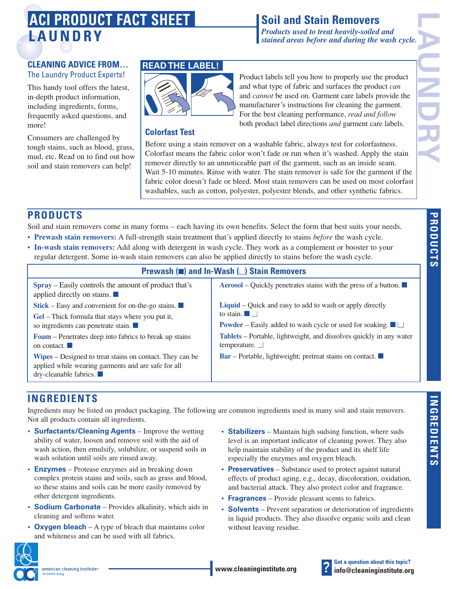# **LAUNDRY ACI PRODUCT FACT SHEET**

# **Soil and Stain Removers**

*Products used to treat heavily-soiled and stained areas before and during the wash cycle.*

#### **CLEANING ADVICE FROM…** The Laundry Product Experts!

This handy tool offers the latest, in-depth product information, including ingredients, forms, frequently asked questions, and more!

Consumers are challenged by tough stains, such as blood, grass, mud, etc. Read on to find out how soil and stain removers can help!

### **READ THE LABEL!**



Product labels tell you how to properly use the product and what type of fabric and surfaces the product *can* and *cannot* be used on. Garment care labels provide the manufacturer's instructions for cleaning the garment. For the best cleaning performance, *read and follow* both product label directions *and* garment care labels.

#### **Colorfast Test**

Before using a stain remover on a washable fabric, always test for colorfastness. Colorfast means the fabric color won't fade or run when it's washed. Apply the stain remover directly to an unnoticeable part of the garment, such as an inside seam. Wait 5-10 minutes. Rinse with water. The stain remover is safe for the garment if the fabric color doesn't fade or bleed. Most stain removers can be used on most colorfast washables, such as cotton, polyester, polyester blends, and other synthetic fabrics.

## **PRODUCTS**

Soil and stain removers come in many forms – each having its own benefits. Select the form that best suits your needs.

- **Prewash stain removers:** A full-strength stain treatment that's applied directly to stains *before* the wash cycle.
- **In-wash stain removers:** Add along with detergent in wash cycle. They work as a complement or booster to your regular detergent. Some in-wash stain removers can also be applied directly to stains before the wash cycle.

### **Prewash (**■**) and In-Wash (**■**) Stain Removers**

| <b>Spray</b> – Easily controls the amount of product that's<br>applied directly on stains. $\blacksquare$                                                     | <b>Aerosol</b> – Quickly penetrates stains with the press of a button. $\blacksquare$      |
|---------------------------------------------------------------------------------------------------------------------------------------------------------------|--------------------------------------------------------------------------------------------|
| <b>Stick</b> – Easy and convenient for on-the-go stains. $\Box$                                                                                               | Liquid – Quick and easy to add to wash or apply directly                                   |
| Gel – Thick formula that stays where you put it,                                                                                                              | to stain. $\Box$                                                                           |
| so ingredients can penetrate stain.                                                                                                                           | <b>Powder</b> – Easily added to wash cycle or used for soaking. $\blacksquare$             |
| <b>Foam</b> – Penetrates deep into fabrics to break up stains<br>on contact.                                                                                  | Tablets – Portable, lightweight, and dissolves quickly in any water<br>temperature. $\Box$ |
| <b>Wipes</b> – Designed to treat stains on contact. They can be<br>applied while wearing garments and are safe for all<br>$\frac{dy}{dx}$ -cleanable fabrics. | Bar – Portable, lightweight; pretreat stains on contact.                                   |
|                                                                                                                                                               |                                                                                            |

## **INGREDIENTS**

Ingredients may be listed on product packaging. The following are common ingredients used in many soil and stain removers. Not all products contain all ingredients.

- **Surfactants/Cleaning Agents** Improve the wetting ability of water, loosen and remove soil with the aid of wash action, then emulsify, solubilize, or suspend soils in wash solution until soils are rinsed away.
- **Enzymes** Protease enzymes aid in breaking down complex protein stains and soils, such as grass and blood, so these stains and soils can be more easily removed by other detergent ingredients.
- **Sodium Carbonate** Provides alkalinity, which aids in cleaning and softens water.
- **Oxygen bleach** A type of bleach that maintains color and whiteness and can be used with all fabrics.
- **Stabilizers** Maintain high sudsing function, where suds level is an important indicator of cleaning power. They also help maintain stability of the product and its shelf life especially the enzymes and oxygen bleach.
- **Preservatives** Substance used to protect against natural effects of product aging, e.g., decay, discoloration, oxidation, and bacterial attack. They also protect color and fragrance.
- **Fragrances** Provide pleasant scents to fabrics.
- **Solvents** Prevent separation or deterioration of ingredients in liquid products. They also dissolve organic soils and clean without leaving residue.





**LAUNDRY**

**PRODUCTS**

**PRODUCTS**